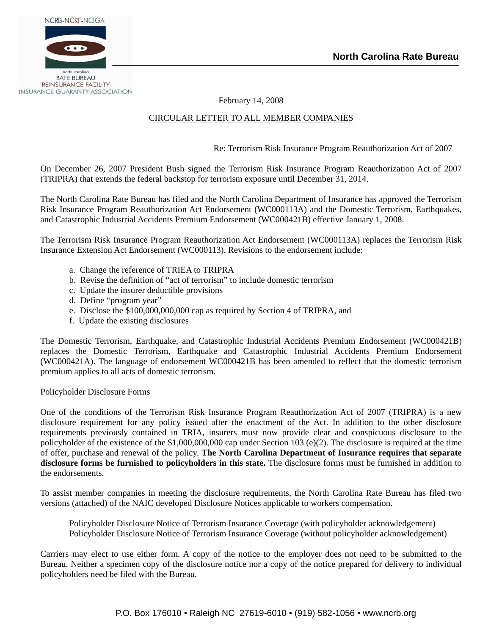

February 14, 2008

# CIRCULAR LETTER TO ALL MEMBER COMPANIES

Re: Terrorism Risk Insurance Program Reauthorization Act of 2007

On December 26, 2007 President Bush signed the Terrorism Risk Insurance Program Reauthorization Act of 2007 (TRIPRA) that extends the federal backstop for terrorism exposure until December 31, 2014.

The North Carolina Rate Bureau has filed and the North Carolina Department of Insurance has approved the Terrorism Risk Insurance Program Reauthorization Act Endorsement (WC000113A) and the Domestic Terrorism, Earthquakes, and Catastrophic Industrial Accidents Premium Endorsement (WC000421B) effective January 1, 2008.

The Terrorism Risk Insurance Program Reauthorization Act Endorsement (WC000113A) replaces the Terrorism Risk Insurance Extension Act Endorsement (WC000113). Revisions to the endorsement include:

- a. Change the reference of TRIEA to TRIPRA
- b. Revise the definition of "act of terrorism" to include domestic terrorism
- c. Update the insurer deductible provisions
- d. Define "program year"
- e. Disclose the \$100,000,000,000 cap as required by Section 4 of TRIPRA, and
- f. Update the existing disclosures

The Domestic Terrorism, Earthquake, and Catastrophic Industrial Accidents Premium Endorsement (WC000421B) replaces the Domestic Terrorism, Earthquake and Catastrophic Industrial Accidents Premium Endorsement (WC000421A). The language of endorsement WC000421B has been amended to reflect that the domestic terrorism premium applies to all acts of domestic terrorism.

## Policyholder Disclosure Forms

One of the conditions of the Terrorism Risk Insurance Program Reauthorization Act of 2007 (TRIPRA) is a new disclosure requirement for any policy issued after the enactment of the Act. In addition to the other disclosure requirements previously contained in TRIA, insurers must now provide clear and conspicuous disclosure to the policyholder of the existence of the \$1,000,000,000 cap under Section 103 (e)(2). The disclosure is required at the time of offer, purchase and renewal of the policy. **The North Carolina Department of Insurance requires that separate disclosure forms be furnished to policyholders in this state.** The disclosure forms must be furnished in addition to the endorsements.

To assist member companies in meeting the disclosure requirements, the North Carolina Rate Bureau has filed two versions (attached) of the NAIC developed Disclosure Notices applicable to workers compensation.

 Policyholder Disclosure Notice of Terrorism Insurance Coverage (with policyholder acknowledgement) Policyholder Disclosure Notice of Terrorism Insurance Coverage (without policyholder acknowledgement)

Carriers may elect to use either form. A copy of the notice to the employer does not need to be submitted to the Bureau. Neither a specimen copy of the disclosure notice nor a copy of the notice prepared for delivery to individual policyholders need be filed with the Bureau.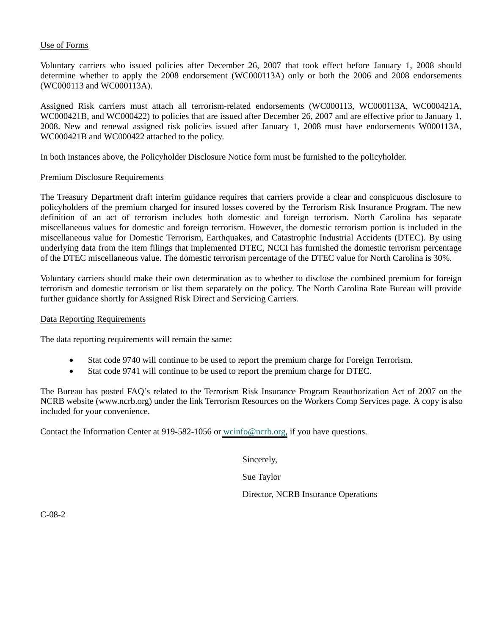# Use of Forms

Voluntary carriers who issued policies after December 26, 2007 that took effect before January 1, 2008 should determine whether to apply the 2008 endorsement (WC000113A) only or both the 2006 and 2008 endorsements (WC000113 and WC000113A).

Assigned Risk carriers must attach all terrorism-related endorsements (WC000113, WC000113A, WC000421A, WC000421B, and WC000422) to policies that are issued after December 26, 2007 and are effective prior to January 1, 2008. New and renewal assigned risk policies issued after January 1, 2008 must have endorsements W000113A, WC000421B and WC000422 attached to the policy.

In both instances above, the Policyholder Disclosure Notice form must be furnished to the policyholder.

# Premium Disclosure Requirements

The Treasury Department draft interim guidance requires that carriers provide a clear and conspicuous disclosure to policyholders of the premium charged for insured losses covered by the Terrorism Risk Insurance Program. The new definition of an act of terrorism includes both domestic and foreign terrorism. North Carolina has separate miscellaneous values for domestic and foreign terrorism. However, the domestic terrorism portion is included in the miscellaneous value for Domestic Terrorism, Earthquakes, and Catastrophic Industrial Accidents (DTEC). By using underlying data from the item filings that implemented DTEC, NCCI has furnished the domestic terrorism percentage of the DTEC miscellaneous value. The domestic terrorism percentage of the DTEC value for North Carolina is 30%.

Voluntary carriers should make their own determination as to whether to disclose the combined premium for foreign terrorism and domestic terrorism or list them separately on the policy. The North Carolina Rate Bureau will provide further guidance shortly for Assigned Risk Direct and Servicing Carriers.

## Data Reporting Requirements

The data reporting requirements will remain the same:

- Stat code 9740 will continue to be used to report the premium charge for Foreign Terrorism.
- Stat code 9741 will continue to be used to report the premium charge for DTEC.

The Bureau has posted FAQ's related to the Terrorism Risk Insurance Program Reauthorization Act of 2007 on the NCRB website (www.ncrb.org) under the link Terrorism Resources on the Workers Comp Services page. A copy is also included for your convenience.

Contact the Information Center at 919-582-1056 or [wcinfo@ncrb.org,](mailto:wcinfo@ncrb.org) if you have questions.

Sincerely,

Sue Taylor

Director, NCRB Insurance Operations

C-08-2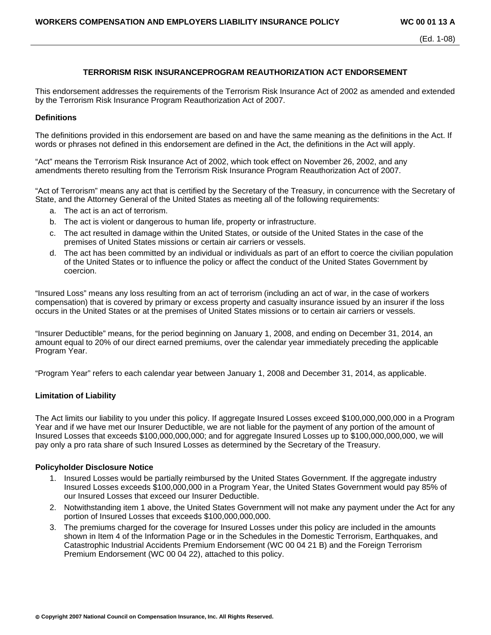## **TERRORISM RISK INSURANCEPROGRAM REAUTHORIZATION ACT ENDORSEMENT**

This endorsement addresses the requirements of the Terrorism Risk Insurance Act of 2002 as amended and extended by the Terrorism Risk Insurance Program Reauthorization Act of 2007.

### **Definitions**

The definitions provided in this endorsement are based on and have the same meaning as the definitions in the Act. If words or phrases not defined in this endorsement are defined in the Act, the definitions in the Act will apply.

"Act" means the Terrorism Risk Insurance Act of 2002, which took effect on November 26, 2002, and any amendments thereto resulting from the Terrorism Risk Insurance Program Reauthorization Act of 2007.

"Act of Terrorism" means any act that is certified by the Secretary of the Treasury, in concurrence with the Secretary of State, and the Attorney General of the United States as meeting all of the following requirements:

- a. The act is an act of terrorism.
- b. The act is violent or dangerous to human life, property or infrastructure.
- c. The act resulted in damage within the United States, or outside of the United States in the case of the premises of United States missions or certain air carriers or vessels.
- d. The act has been committed by an individual or individuals as part of an effort to coerce the civilian population of the United States or to influence the policy or affect the conduct of the United States Government by coercion.

"Insured Loss" means any loss resulting from an act of terrorism (including an act of war, in the case of workers compensation) that is covered by primary or excess property and casualty insurance issued by an insurer if the loss occurs in the United States or at the premises of United States missions or to certain air carriers or vessels.

"Insurer Deductible" means, for the period beginning on January 1, 2008, and ending on December 31, 2014, an amount equal to 20% of our direct earned premiums, over the calendar year immediately preceding the applicable Program Year.

"Program Year" refers to each calendar year between January 1, 2008 and December 31, 2014, as applicable.

#### **Limitation of Liability**

The Act limits our liability to you under this policy. If aggregate Insured Losses exceed \$100,000,000,000 in a Program Year and if we have met our Insurer Deductible, we are not liable for the payment of any portion of the amount of Insured Losses that exceeds \$100,000,000,000; and for aggregate Insured Losses up to \$100,000,000,000, we will pay only a pro rata share of such Insured Losses as determined by the Secretary of the Treasury.

#### **Policyholder Disclosure Notice**

- 1. Insured Losses would be partially reimbursed by the United States Government. If the aggregate industry Insured Losses exceeds \$100,000,000 in a Program Year, the United States Government would pay 85% of our Insured Losses that exceed our Insurer Deductible.
- 2. Notwithstanding item 1 above, the United States Government will not make any payment under the Act for any portion of Insured Losses that exceeds \$100,000,000,000.
- 3. The premiums charged for the coverage for Insured Losses under this policy are included in the amounts shown in Item 4 of the Information Page or in the Schedules in the Domestic Terrorism, Earthquakes, and Catastrophic Industrial Accidents Premium Endorsement (WC 00 04 21 B) and the Foreign Terrorism Premium Endorsement (WC 00 04 22), attached to this policy.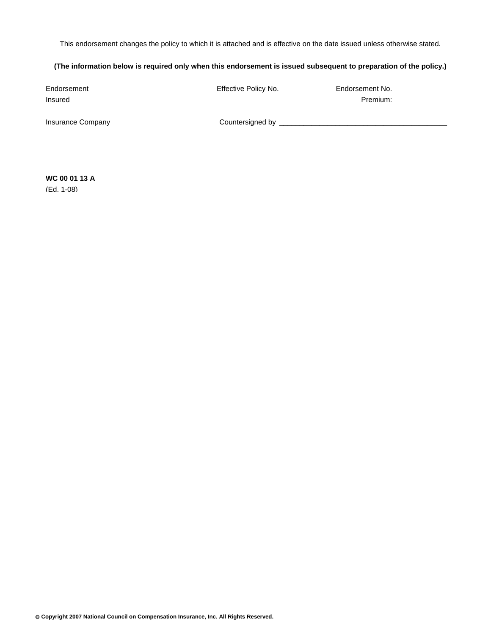This endorsement changes the policy to which it is attached and is effective on the date issued unless otherwise stated.

## **(The information below is required only when this endorsement is issued subsequent to preparation of the policy.)**

| Endorsement<br>Insured   | Effective Policy No. | Endorsement No.<br>Premium: |
|--------------------------|----------------------|-----------------------------|
| <b>Insurance Company</b> | Countersigned by     |                             |

**WC 00 01 13 A**  (Ed. 1-08)

© **Copyright 2007 National Council on Compensation Insurance, Inc. All Rights Reserved.**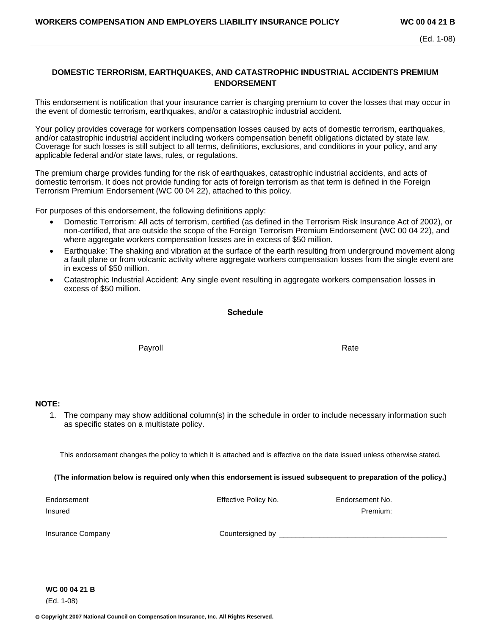# **DOMESTIC TERRORISM, EARTHQUAKES, AND CATASTROPHIC INDUSTRIAL ACCIDENTS PREMIUM ENDORSEMENT**

This endorsement is notification that your insurance carrier is charging premium to cover the losses that may occur in the event of domestic terrorism, earthquakes, and/or a catastrophic industrial accident.

Your policy provides coverage for workers compensation losses caused by acts of domestic terrorism, earthquakes, and/or catastrophic industrial accident including workers compensation benefit obligations dictated by state law. Coverage for such losses is still subject to all terms, definitions, exclusions, and conditions in your policy, and any applicable federal and/or state laws, rules, or regulations.

The premium charge provides funding for the risk of earthquakes, catastrophic industrial accidents, and acts of domestic terrorism. It does not provide funding for acts of foreign terrorism as that term is defined in the Foreign Terrorism Premium Endorsement (WC 00 04 22), attached to this policy.

For purposes of this endorsement, the following definitions apply:

- Domestic Terrorism: All acts of terrorism, certified (as defined in the Terrorism Risk Insurance Act of 2002), or non-certified, that are outside the scope of the Foreign Terrorism Premium Endorsement (WC 00 04 22), and where aggregate workers compensation losses are in excess of \$50 million.
- Earthquake: The shaking and vibration at the surface of the earth resulting from underground movement along a fault plane or from volcanic activity where aggregate workers compensation losses from the single event are in excess of \$50 million.
- Catastrophic Industrial Accident: Any single event resulting in aggregate workers compensation losses in excess of \$50 million.

#### **Schedule**

Payroll **Rate** 

## **NOTE:**

1. The company may show additional column(s) in the schedule in order to include necessary information such as specific states on a multistate policy.

This endorsement changes the policy to which it is attached and is effective on the date issued unless otherwise stated.

**(The information below is required only when this endorsement is issued subsequent to preparation of the policy.)** 

Endorsement Effective Policy No. Endorsement No. Insured Premium:

Insurance Company example and the Countersigned by  $\Box$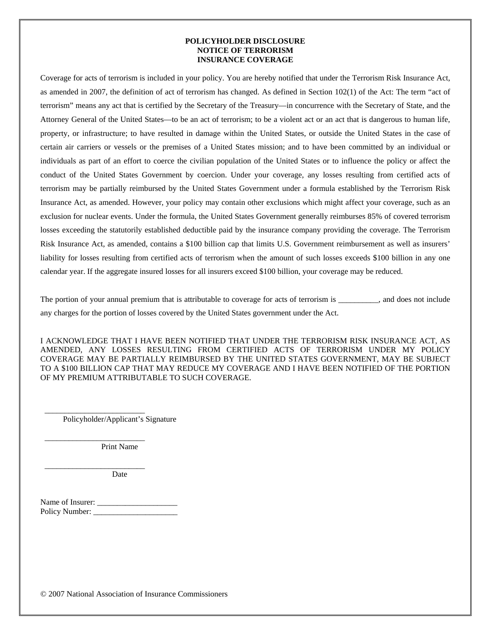#### **POLICYHOLDER DISCLOSURE NOTICE OF TERRORISM INSURANCE COVERAGE**

Coverage for acts of terrorism is included in your policy. You are hereby notified that under the Terrorism Risk Insurance Act, as amended in 2007, the definition of act of terrorism has changed. As defined in Section 102(1) of the Act: The term "act of terrorism" means any act that is certified by the Secretary of the Treasury—in concurrence with the Secretary of State, and the Attorney General of the United States—to be an act of terrorism; to be a violent act or an act that is dangerous to human life, property, or infrastructure; to have resulted in damage within the United States, or outside the United States in the case of certain air carriers or vessels or the premises of a United States mission; and to have been committed by an individual or individuals as part of an effort to coerce the civilian population of the United States or to influence the policy or affect the conduct of the United States Government by coercion. Under your coverage, any losses resulting from certified acts of terrorism may be partially reimbursed by the United States Government under a formula established by the Terrorism Risk Insurance Act, as amended. However, your policy may contain other exclusions which might affect your coverage, such as an exclusion for nuclear events. Under the formula, the United States Government generally reimburses 85% of covered terrorism losses exceeding the statutorily established deductible paid by the insurance company providing the coverage. The Terrorism Risk Insurance Act, as amended, contains a \$100 billion cap that limits U.S. Government reimbursement as well as insurers' liability for losses resulting from certified acts of terrorism when the amount of such losses exceeds \$100 billion in any one calendar year. If the aggregate insured losses for all insurers exceed \$100 billion, your coverage may be reduced.

The portion of your annual premium that is attributable to coverage for acts of terrorism is \_\_\_\_\_\_\_\_, and does not include any charges for the portion of losses covered by the United States government under the Act.

I ACKNOWLEDGE THAT I HAVE BEEN NOTIFIED THAT UNDER THE TERRORISM RISK INSURANCE ACT, AS AMENDED, ANY LOSSES RESULTING FROM CERTIFIED ACTS OF TERRORISM UNDER MY POLICY COVERAGE MAY BE PARTIALLY REIMBURSED BY THE UNITED STATES GOVERNMENT, MAY BE SUBJECT TO A \$100 BILLION CAP THAT MAY REDUCE MY COVERAGE AND I HAVE BEEN NOTIFIED OF THE PORTION OF MY PREMIUM ATTRIBUTABLE TO SUCH COVERAGE.

Policyholder/Applicant's Signature

\_\_\_\_\_\_\_\_\_\_\_\_\_\_\_\_\_\_\_\_\_\_\_\_\_

\_\_\_\_\_\_\_\_\_\_\_\_\_\_\_\_\_\_\_\_\_\_\_\_\_

\_\_\_\_\_\_\_\_\_\_\_\_\_\_\_\_\_\_\_\_\_\_\_\_\_

Print Name

Date

Name of Insurer: \_\_\_\_\_\_\_\_\_\_\_\_\_\_\_\_\_\_\_\_ Policy Number: \_\_\_\_\_\_\_\_\_\_\_\_\_\_\_\_\_\_\_\_\_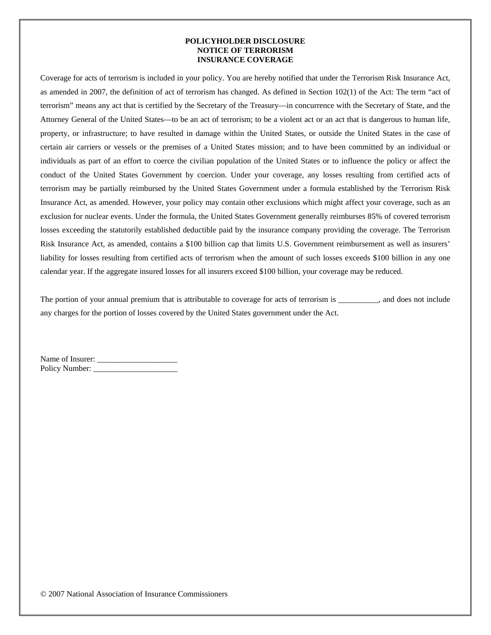### **POLICYHOLDER DISCLOSURE NOTICE OF TERRORISM INSURANCE COVERAGE**

Coverage for acts of terrorism is included in your policy. You are hereby notified that under the Terrorism Risk Insurance Act, as amended in 2007, the definition of act of terrorism has changed. As defined in Section 102(1) of the Act: The term "act of terrorism" means any act that is certified by the Secretary of the Treasury—in concurrence with the Secretary of State, and the Attorney General of the United States—to be an act of terrorism; to be a violent act or an act that is dangerous to human life, property, or infrastructure; to have resulted in damage within the United States, or outside the United States in the case of certain air carriers or vessels or the premises of a United States mission; and to have been committed by an individual or individuals as part of an effort to coerce the civilian population of the United States or to influence the policy or affect the conduct of the United States Government by coercion. Under your coverage, any losses resulting from certified acts of terrorism may be partially reimbursed by the United States Government under a formula established by the Terrorism Risk Insurance Act, as amended. However, your policy may contain other exclusions which might affect your coverage, such as an exclusion for nuclear events. Under the formula, the United States Government generally reimburses 85% of covered terrorism losses exceeding the statutorily established deductible paid by the insurance company providing the coverage. The Terrorism Risk Insurance Act, as amended, contains a \$100 billion cap that limits U.S. Government reimbursement as well as insurers' liability for losses resulting from certified acts of terrorism when the amount of such losses exceeds \$100 billion in any one calendar year. If the aggregate insured losses for all insurers exceed \$100 billion, your coverage may be reduced.

The portion of your annual premium that is attributable to coverage for acts of terrorism is \_\_\_\_\_\_\_\_, and does not include any charges for the portion of losses covered by the United States government under the Act.

| Name of Insurer: |  |
|------------------|--|
| Policy Number:   |  |